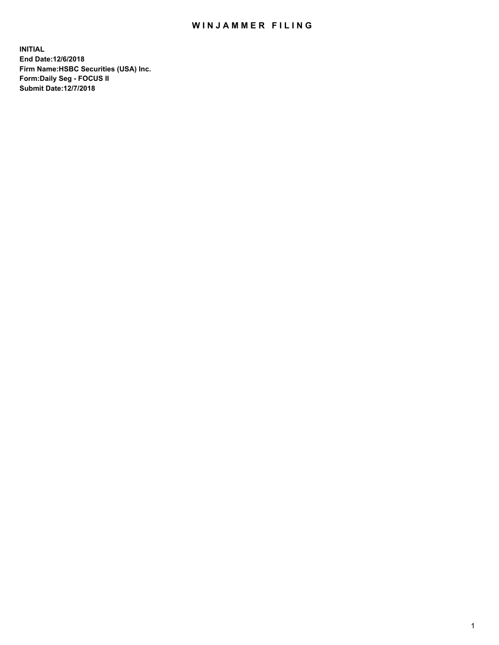## WIN JAMMER FILING

**INITIAL End Date:12/6/2018 Firm Name:HSBC Securities (USA) Inc. Form:Daily Seg - FOCUS II Submit Date:12/7/2018**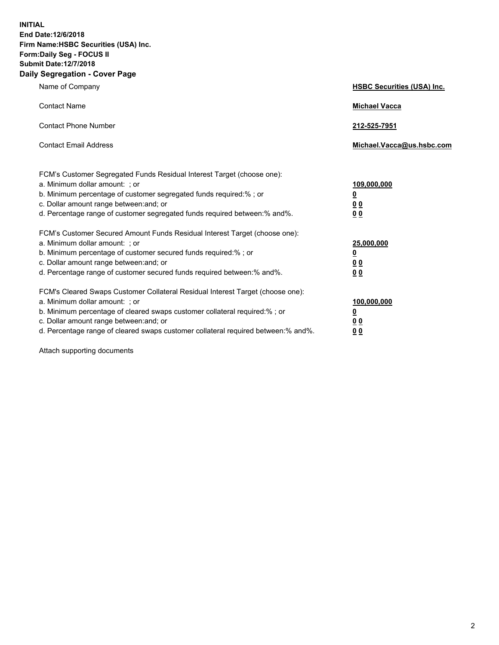**INITIAL End Date:12/6/2018 Firm Name:HSBC Securities (USA) Inc. Form:Daily Seg - FOCUS II Submit Date:12/7/2018 Daily Segregation - Cover Page**

| Name of Company                                                                                                                                                                                                                                                                                                                | <b>HSBC Securities (USA) Inc.</b>                           |
|--------------------------------------------------------------------------------------------------------------------------------------------------------------------------------------------------------------------------------------------------------------------------------------------------------------------------------|-------------------------------------------------------------|
| <b>Contact Name</b>                                                                                                                                                                                                                                                                                                            | <b>Michael Vacca</b>                                        |
| <b>Contact Phone Number</b>                                                                                                                                                                                                                                                                                                    | 212-525-7951                                                |
| <b>Contact Email Address</b>                                                                                                                                                                                                                                                                                                   | Michael.Vacca@us.hsbc.com                                   |
| FCM's Customer Segregated Funds Residual Interest Target (choose one):<br>a. Minimum dollar amount: ; or<br>b. Minimum percentage of customer segregated funds required:% ; or<br>c. Dollar amount range between: and; or<br>d. Percentage range of customer segregated funds required between:% and%.                         | 109,000,000<br><u>0</u><br>0 <sub>0</sub><br>0 <sub>0</sub> |
| FCM's Customer Secured Amount Funds Residual Interest Target (choose one):<br>a. Minimum dollar amount: ; or<br>b. Minimum percentage of customer secured funds required:% ; or<br>c. Dollar amount range between: and; or<br>d. Percentage range of customer secured funds required between: % and %.                         | 25,000,000<br><u>0</u><br>0 <sub>0</sub><br>0 <sub>0</sub>  |
| FCM's Cleared Swaps Customer Collateral Residual Interest Target (choose one):<br>a. Minimum dollar amount: ; or<br>b. Minimum percentage of cleared swaps customer collateral required:% ; or<br>c. Dollar amount range between: and; or<br>d. Percentage range of cleared swaps customer collateral required between:% and%. | 100,000,000<br><u>0</u><br>0 <sub>0</sub><br>00             |

Attach supporting documents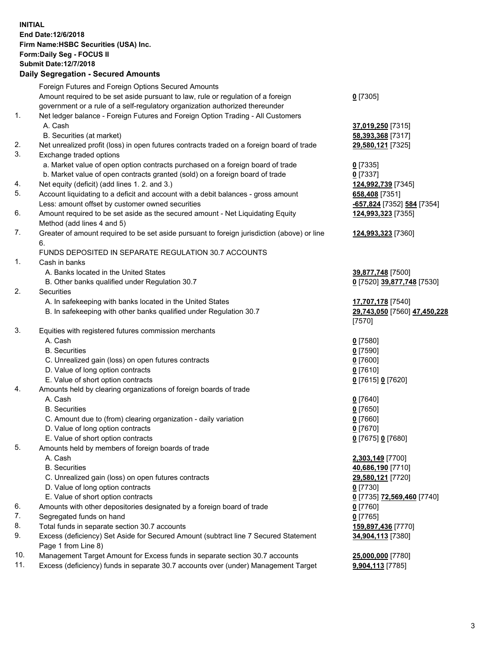**INITIAL End Date:12/6/2018 Firm Name:HSBC Securities (USA) Inc. Form:Daily Seg - FOCUS II Submit Date:12/7/2018 Daily Segregation - Secured Amounts** Foreign Futures and Foreign Options Secured Amounts Amount required to be set aside pursuant to law, rule or regulation of a foreign government or a rule of a self-regulatory organization authorized thereunder **0** [7305] 1. Net ledger balance - Foreign Futures and Foreign Option Trading - All Customers A. Cash **37,019,250** [7315] B. Securities (at market) **58,393,368** [7317] 2. Net unrealized profit (loss) in open futures contracts traded on a foreign board of trade **29,580,121** [7325] 3. Exchange traded options a. Market value of open option contracts purchased on a foreign board of trade **0** [7335] b. Market value of open contracts granted (sold) on a foreign board of trade **0** [7337] 4. Net equity (deficit) (add lines 1. 2. and 3.) **124,992,739** [7345] 5. Account liquidating to a deficit and account with a debit balances - gross amount **658,408** [7351] Less: amount offset by customer owned securities **-657,824** [7352] **584** [7354] 6. Amount required to be set aside as the secured amount - Net Liquidating Equity Method (add lines 4 and 5) **124,993,323** [7355] 7. Greater of amount required to be set aside pursuant to foreign jurisdiction (above) or line 6. **124,993,323** [7360] FUNDS DEPOSITED IN SEPARATE REGULATION 30.7 ACCOUNTS 1. Cash in banks A. Banks located in the United States **39,877,748** [7500] B. Other banks qualified under Regulation 30.7 **0** [7520] **39,877,748** [7530] 2. Securities A. In safekeeping with banks located in the United States **17,707,178** [7540] B. In safekeeping with other banks qualified under Regulation 30.7 **29,743,050** [7560] **47,450,228** [7570] 3. Equities with registered futures commission merchants A. Cash **0** [7580] B. Securities **0** [7590] C. Unrealized gain (loss) on open futures contracts **0** [7600] D. Value of long option contracts **0** [7610] E. Value of short option contracts **0** [7615] **0** [7620] 4. Amounts held by clearing organizations of foreign boards of trade A. Cash **0** [7640] B. Securities **0** [7650] C. Amount due to (from) clearing organization - daily variation **0** [7660] D. Value of long option contracts **0** [7670] E. Value of short option contracts **0** [7675] **0** [7680] 5. Amounts held by members of foreign boards of trade A. Cash **2,303,149** [7700] B. Securities **40,686,190** [7710] C. Unrealized gain (loss) on open futures contracts **29,580,121** [7720] D. Value of long option contracts **0** [7730] E. Value of short option contracts **0** [7735] **72,569,460** [7740] 6. Amounts with other depositories designated by a foreign board of trade **0** [7760] 7. Segregated funds on hand **0** [7765] 8. Total funds in separate section 30.7 accounts **159,897,436** [7770] 9. Excess (deficiency) Set Aside for Secured Amount (subtract line 7 Secured Statement Page 1 from Line 8) **34,904,113** [7380]

10. Management Target Amount for Excess funds in separate section 30.7 accounts **25,000,000** [7780]

11. Excess (deficiency) funds in separate 30.7 accounts over (under) Management Target **9,904,113** [7785]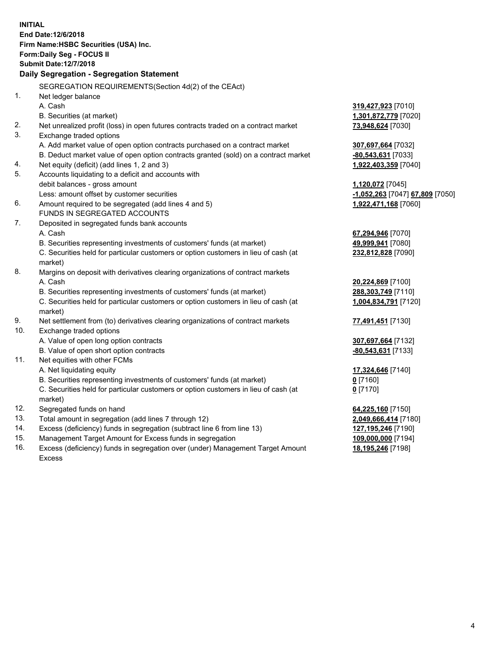|     | <b>INITIAL</b><br>End Date: 12/6/2018<br>Firm Name: HSBC Securities (USA) Inc.<br>Form: Daily Seg - FOCUS II<br><b>Submit Date:12/7/2018</b><br>Daily Segregation - Segregation Statement |                                 |
|-----|-------------------------------------------------------------------------------------------------------------------------------------------------------------------------------------------|---------------------------------|
|     | SEGREGATION REQUIREMENTS(Section 4d(2) of the CEAct)                                                                                                                                      |                                 |
| 1.  | Net ledger balance                                                                                                                                                                        |                                 |
|     | A. Cash                                                                                                                                                                                   | 319,427,923 [7010]              |
|     | B. Securities (at market)                                                                                                                                                                 | 1,301,872,779 [7020]            |
| 2.  | Net unrealized profit (loss) in open futures contracts traded on a contract market                                                                                                        | 73,948,624 [7030]               |
| 3.  | Exchange traded options                                                                                                                                                                   |                                 |
|     | A. Add market value of open option contracts purchased on a contract market                                                                                                               | 307,697,664 [7032]              |
|     | B. Deduct market value of open option contracts granted (sold) on a contract market                                                                                                       | -80,543,631 [7033]              |
| 4.  | Net equity (deficit) (add lines 1, 2 and 3)                                                                                                                                               | 1,922,403,359 [7040]            |
| 5.  | Accounts liquidating to a deficit and accounts with                                                                                                                                       |                                 |
|     | debit balances - gross amount                                                                                                                                                             | 1,120,072 [7045]                |
|     | Less: amount offset by customer securities                                                                                                                                                | -1,052,263 [7047] 67,809 [7050] |
| 6.  | Amount required to be segregated (add lines 4 and 5)                                                                                                                                      | 1,922,471,168 [7060]            |
|     | FUNDS IN SEGREGATED ACCOUNTS                                                                                                                                                              |                                 |
| 7.  | Deposited in segregated funds bank accounts                                                                                                                                               |                                 |
|     | A. Cash                                                                                                                                                                                   | 67,294,946 [7070]               |
|     | B. Securities representing investments of customers' funds (at market)                                                                                                                    | 49,999,941 [7080]               |
|     | C. Securities held for particular customers or option customers in lieu of cash (at                                                                                                       | 232,812,828 [7090]              |
|     | market)                                                                                                                                                                                   |                                 |
| 8.  | Margins on deposit with derivatives clearing organizations of contract markets                                                                                                            |                                 |
|     | A. Cash                                                                                                                                                                                   | 20,224,869 [7100]               |
|     | B. Securities representing investments of customers' funds (at market)                                                                                                                    | 288,303,749 [7110]              |
|     | C. Securities held for particular customers or option customers in lieu of cash (at<br>market)                                                                                            | 1,004,834,791 [7120]            |
| 9.  | Net settlement from (to) derivatives clearing organizations of contract markets                                                                                                           | 77,491,451 [7130]               |
| 10. | Exchange traded options                                                                                                                                                                   |                                 |
|     | A. Value of open long option contracts                                                                                                                                                    | 307,697,664 [7132]              |
|     | B. Value of open short option contracts                                                                                                                                                   | -80,543,631 [7133]              |
| 11. | Net equities with other FCMs                                                                                                                                                              |                                 |
|     | A. Net liquidating equity                                                                                                                                                                 | 17,324,646 [7140]               |
|     | B. Securities representing investments of customers' funds (at market)                                                                                                                    | $0$ [7160]                      |
|     | C. Securities held for particular customers or option customers in lieu of cash (at                                                                                                       | $0$ [7170]                      |
|     | market)                                                                                                                                                                                   |                                 |
| 12. | Segregated funds on hand                                                                                                                                                                  | 64,225,160 [7150]               |
| 13. | Total amount in segregation (add lines 7 through 12)                                                                                                                                      | 2,049,666,414 [7180]            |
| 14. | Excess (deficiency) funds in segregation (subtract line 6 from line 13)                                                                                                                   | 127,195,246 [7190]              |
| 15. | Management Target Amount for Excess funds in segregation                                                                                                                                  | 109,000,000 [7194]              |
| 16. | Excess (deficiency) funds in segregation over (under) Management Target Amount                                                                                                            | 18,195,246 [7198]               |

16. Excess (deficiency) funds in segregation over (under) Management Target Amount Excess